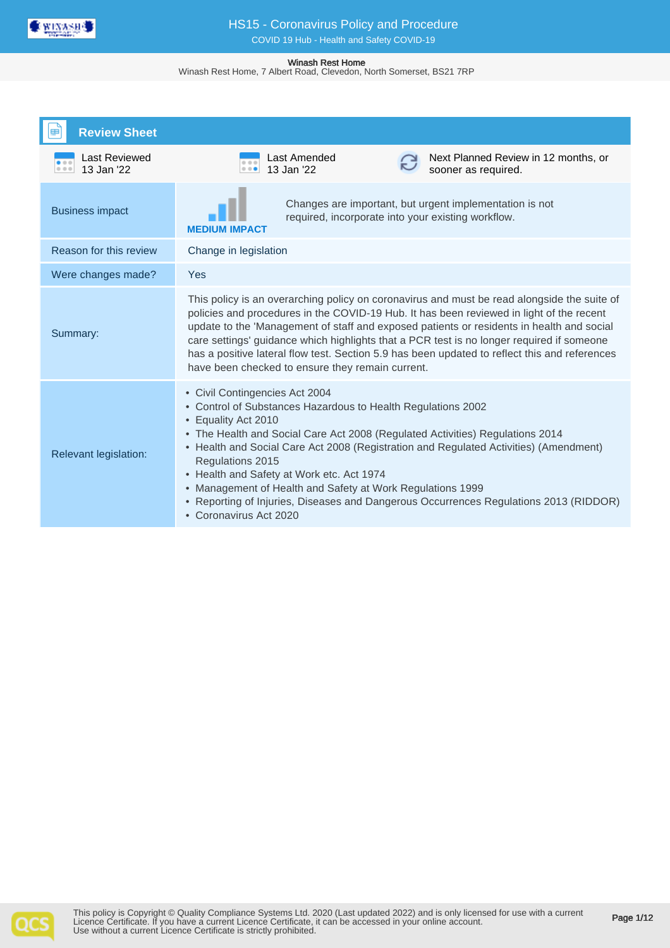

Winash Rest Home, 7 Albert Road, Clevedon, North Somerset, BS21 7RP

| <b>Review Sheet</b>                 |                                                                                                                                                                                                                                                                                                                                                                                                                                                                                                                                                                       |
|-------------------------------------|-----------------------------------------------------------------------------------------------------------------------------------------------------------------------------------------------------------------------------------------------------------------------------------------------------------------------------------------------------------------------------------------------------------------------------------------------------------------------------------------------------------------------------------------------------------------------|
| Last Reviewed<br>13 Jan '22<br>0.00 | Last Amended<br>Next Planned Review in 12 months, or<br>13 Jan '22<br>sooner as required.<br>$\begin{array}{ccc} 0 & 0 & 0 \end{array}$                                                                                                                                                                                                                                                                                                                                                                                                                               |
| <b>Business impact</b>              | Changes are important, but urgent implementation is not<br>required, incorporate into your existing workflow.<br><b>MEDIUM IMPACT</b>                                                                                                                                                                                                                                                                                                                                                                                                                                 |
| Reason for this review              | Change in legislation                                                                                                                                                                                                                                                                                                                                                                                                                                                                                                                                                 |
| Were changes made?                  | Yes                                                                                                                                                                                                                                                                                                                                                                                                                                                                                                                                                                   |
| Summary:                            | This policy is an overarching policy on coronavirus and must be read alongside the suite of<br>policies and procedures in the COVID-19 Hub. It has been reviewed in light of the recent<br>update to the 'Management of staff and exposed patients or residents in health and social<br>care settings' guidance which highlights that a PCR test is no longer required if someone<br>has a positive lateral flow test. Section 5.9 has been updated to reflect this and references<br>have been checked to ensure they remain current.                                |
| Relevant legislation:               | • Civil Contingencies Act 2004<br>• Control of Substances Hazardous to Health Regulations 2002<br>Equality Act 2010<br>$\bullet$<br>• The Health and Social Care Act 2008 (Regulated Activities) Regulations 2014<br>• Health and Social Care Act 2008 (Registration and Regulated Activities) (Amendment)<br>Regulations 2015<br>• Health and Safety at Work etc. Act 1974<br>Management of Health and Safety at Work Regulations 1999<br>Reporting of Injuries, Diseases and Dangerous Occurrences Regulations 2013 (RIDDOR)<br>$\bullet$<br>• Coronavirus Act 2020 |

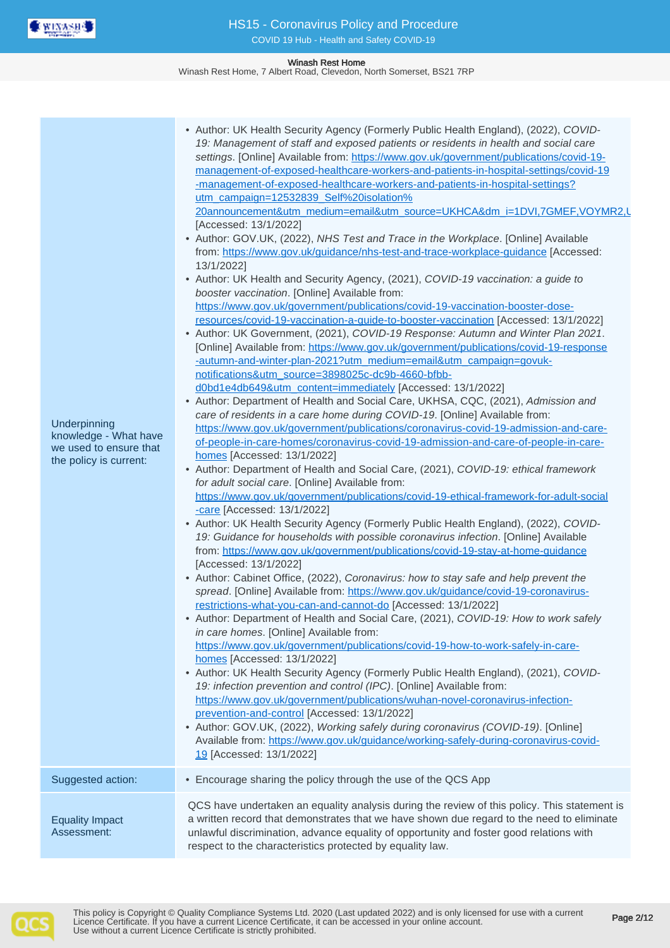

Winash Rest Home, 7 Albert Road, Clevedon, North Somerset, BS21 7RP

| Underpinning<br>knowledge - What have<br>we used to ensure that<br>the policy is current: | • Author: UK Health Security Agency (Formerly Public Health England), (2022), COVID-<br>19: Management of staff and exposed patients or residents in health and social care<br>settings. [Online] Available from: https://www.gov.uk/government/publications/covid-19-<br>management-of-exposed-healthcare-workers-and-patients-in-hospital-settings/covid-19<br>-management-of-exposed-healthcare-workers-and-patients-in-hospital-settings?<br>utm_campaign=12532839_Self%20isolation%<br>20announcement&utm_medium=email&utm_source=UKHCA&dm_i=1DVI,7GMEF,VOYMR2,L<br>[Accessed: 13/1/2022]<br>• Author: GOV.UK, (2022), NHS Test and Trace in the Workplace. [Online] Available<br>from: https://www.gov.uk/guidance/nhs-test-and-trace-workplace-guidance [Accessed:<br>13/1/2022]<br>• Author: UK Health and Security Agency, (2021), COVID-19 vaccination: a guide to<br>booster vaccination. [Online] Available from:<br>https://www.gov.uk/government/publications/covid-19-vaccination-booster-dose-<br>resources/covid-19-vaccination-a-guide-to-booster-vaccination [Accessed: 13/1/2022]<br>• Author: UK Government, (2021), COVID-19 Response: Autumn and Winter Plan 2021.<br>[Online] Available from: https://www.gov.uk/government/publications/covid-19-response<br>-autumn-and-winter-plan-2021?utm_medium=email&utm_campaign=govuk-<br>notifications&utm_source=3898025c-dc9b-4660-bfbb-<br>d0bd1e4db649&utm_content=immediately [Accessed: 13/1/2022]<br>• Author: Department of Health and Social Care, UKHSA, CQC, (2021), Admission and<br>care of residents in a care home during COVID-19. [Online] Available from:<br>https://www.gov.uk/government/publications/coronavirus-covid-19-admission-and-care-<br>of-people-in-care-homes/coronavirus-covid-19-admission-and-care-of-people-in-care-<br>homes [Accessed: 13/1/2022]<br>• Author: Department of Health and Social Care, (2021), COVID-19: ethical framework<br>for adult social care. [Online] Available from:<br>https://www.gov.uk/government/publications/covid-19-ethical-framework-for-adult-social<br>-care [Accessed: 13/1/2022]<br>• Author: UK Health Security Agency (Formerly Public Health England), (2022), COVID-<br>19: Guidance for households with possible coronavirus infection. [Online] Available<br>from: https://www.gov.uk/government/publications/covid-19-stay-at-home-guidance<br>[Accessed: 13/1/2022]<br>• Author: Cabinet Office, (2022), Coronavirus: how to stay safe and help prevent the<br>spread. [Online] Available from: https://www.gov.uk/guidance/covid-19-coronavirus-<br>restrictions-what-you-can-and-cannot-do [Accessed: 13/1/2022]<br>• Author: Department of Health and Social Care, (2021), COVID-19: How to work safely<br>in care homes. [Online] Available from:<br>https://www.gov.uk/government/publications/covid-19-how-to-work-safely-in-care-<br>homes [Accessed: 13/1/2022]<br>• Author: UK Health Security Agency (Formerly Public Health England), (2021), COVID-<br>19: infection prevention and control (IPC). [Online] Available from:<br>https://www.gov.uk/government/publications/wuhan-novel-coronavirus-infection-<br>prevention-and-control [Accessed: 13/1/2022]<br>• Author: GOV.UK, (2022), Working safely during coronavirus (COVID-19). [Online]<br>Available from: https://www.gov.uk/guidance/working-safely-during-coronavirus-covid-<br>19 [Accessed: 13/1/2022] |  |
|-------------------------------------------------------------------------------------------|--------------------------------------------------------------------------------------------------------------------------------------------------------------------------------------------------------------------------------------------------------------------------------------------------------------------------------------------------------------------------------------------------------------------------------------------------------------------------------------------------------------------------------------------------------------------------------------------------------------------------------------------------------------------------------------------------------------------------------------------------------------------------------------------------------------------------------------------------------------------------------------------------------------------------------------------------------------------------------------------------------------------------------------------------------------------------------------------------------------------------------------------------------------------------------------------------------------------------------------------------------------------------------------------------------------------------------------------------------------------------------------------------------------------------------------------------------------------------------------------------------------------------------------------------------------------------------------------------------------------------------------------------------------------------------------------------------------------------------------------------------------------------------------------------------------------------------------------------------------------------------------------------------------------------------------------------------------------------------------------------------------------------------------------------------------------------------------------------------------------------------------------------------------------------------------------------------------------------------------------------------------------------------------------------------------------------------------------------------------------------------------------------------------------------------------------------------------------------------------------------------------------------------------------------------------------------------------------------------------------------------------------------------------------------------------------------------------------------------------------------------------------------------------------------------------------------------------------------------------------------------------------------------------------------------------------------------------------------------------------------------------------------------------------------------------------------------------------------------------------------------------------------------------------------------------------------------------------------------------------------------------------------------------------------------------------------------------------------------------------------------------------------------------------------------------|--|
| Suggested action:                                                                         | • Encourage sharing the policy through the use of the QCS App                                                                                                                                                                                                                                                                                                                                                                                                                                                                                                                                                                                                                                                                                                                                                                                                                                                                                                                                                                                                                                                                                                                                                                                                                                                                                                                                                                                                                                                                                                                                                                                                                                                                                                                                                                                                                                                                                                                                                                                                                                                                                                                                                                                                                                                                                                                                                                                                                                                                                                                                                                                                                                                                                                                                                                                                                                                                                                                                                                                                                                                                                                                                                                                                                                                                                                                                                                        |  |
| <b>Equality Impact</b><br>Assessment:                                                     | QCS have undertaken an equality analysis during the review of this policy. This statement is<br>a written record that demonstrates that we have shown due regard to the need to eliminate<br>unlawful discrimination, advance equality of opportunity and foster good relations with<br>respect to the characteristics protected by equality law.                                                                                                                                                                                                                                                                                                                                                                                                                                                                                                                                                                                                                                                                                                                                                                                                                                                                                                                                                                                                                                                                                                                                                                                                                                                                                                                                                                                                                                                                                                                                                                                                                                                                                                                                                                                                                                                                                                                                                                                                                                                                                                                                                                                                                                                                                                                                                                                                                                                                                                                                                                                                                                                                                                                                                                                                                                                                                                                                                                                                                                                                                    |  |

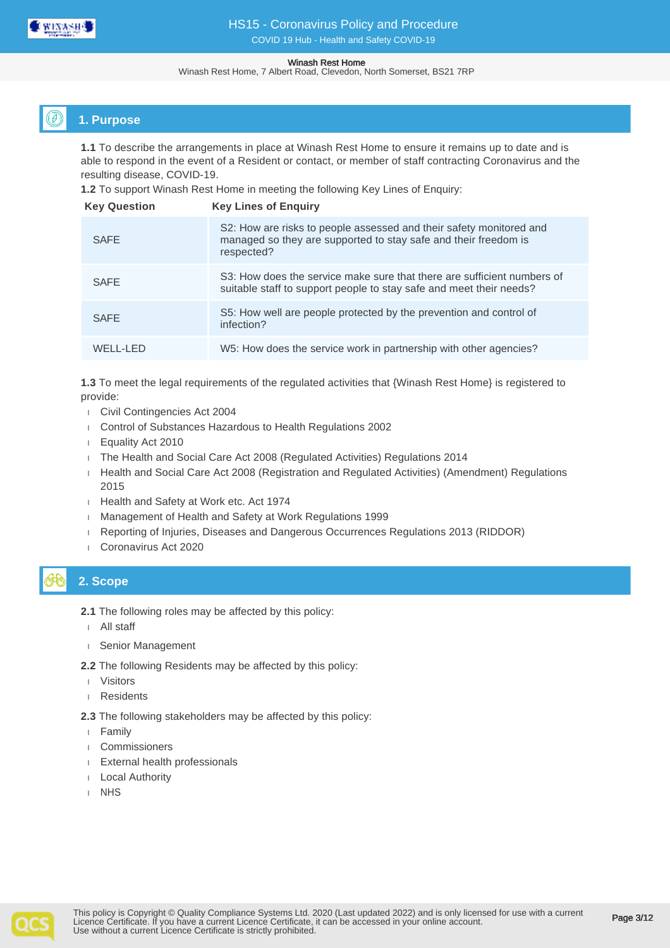

Winash Rest Home, 7 Albert Road, Clevedon, North Somerset, BS21 7RP

## **1. Purpose**

**1.1** To describe the arrangements in place at Winash Rest Home to ensure it remains up to date and is able to respond in the event of a Resident or contact, or member of staff contracting Coronavirus and the resulting disease, COVID-19.

**1.2** To support Winash Rest Home in meeting the following Key Lines of Enquiry:

| <b>Key Question</b> | <b>Key Lines of Enguiry</b>                                                                                                                          |
|---------------------|------------------------------------------------------------------------------------------------------------------------------------------------------|
| <b>SAFE</b>         | S2: How are risks to people assessed and their safety monitored and<br>managed so they are supported to stay safe and their freedom is<br>respected? |
| <b>SAFE</b>         | S3: How does the service make sure that there are sufficient numbers of<br>suitable staff to support people to stay safe and meet their needs?       |
| <b>SAFE</b>         | S5: How well are people protected by the prevention and control of<br>infection?                                                                     |
| WELL-LED            | W5: How does the service work in partnership with other agencies?                                                                                    |

**1.3** To meet the legal requirements of the regulated activities that {Winash Rest Home} is registered to provide:

- Civil Contingencies Act 2004
- Control of Substances Hazardous to Health Regulations 2002
- Equality Act 2010
- The Health and Social Care Act 2008 (Regulated Activities) Regulations 2014
- Health and Social Care Act 2008 (Registration and Regulated Activities) (Amendment) Regulations 2015
- Health and Safety at Work etc. Act 1974
- **Management of Health and Safety at Work Regulations 1999**
- Reporting of Injuries, Diseases and Dangerous Occurrences Regulations 2013 (RIDDOR)
- Coronavirus Act 2020

# **2. Scope**

- **2.1** The following roles may be affected by this policy:
- All staff
- Senior Management
- **2.2** The following Residents may be affected by this policy:
- Visitors
- Residents

**2.3** The following stakeholders may be affected by this policy:

- Family
- Commissioners
- External health professionals
- Local Authority
- NHS

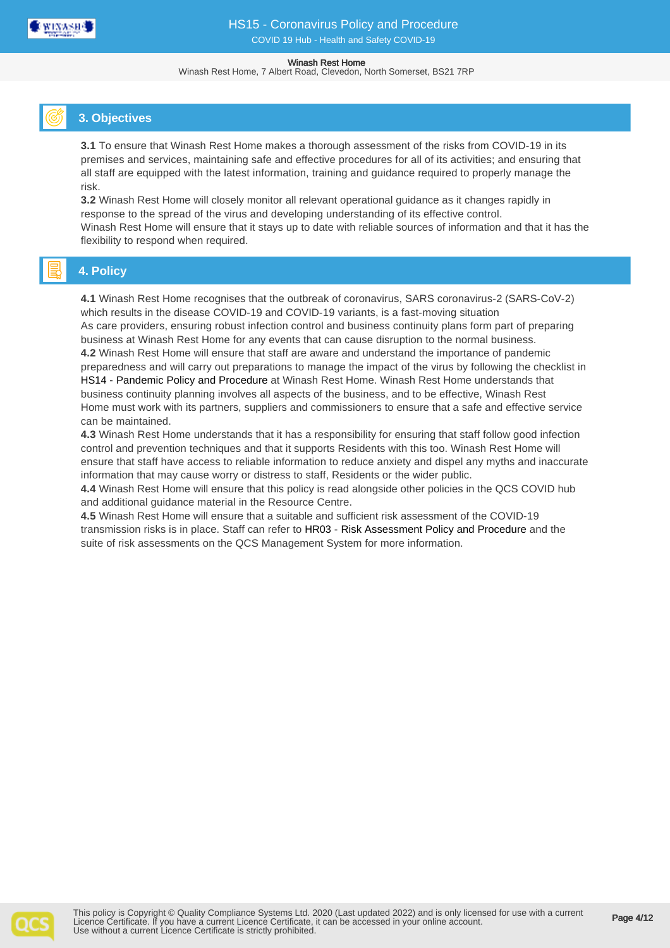

Winash Rest Home, 7 Albert Road, Clevedon, North Somerset, BS21 7RP

# **3. Objectives**

**3.1** To ensure that Winash Rest Home makes a thorough assessment of the risks from COVID-19 in its premises and services, maintaining safe and effective procedures for all of its activities; and ensuring that all staff are equipped with the latest information, training and guidance required to properly manage the risk.

**3.2** Winash Rest Home will closely monitor all relevant operational guidance as it changes rapidly in response to the spread of the virus and developing understanding of its effective control. Winash Rest Home will ensure that it stays up to date with reliable sources of information and that it has the flexibility to respond when required.

# **4. Policy**

**4.1** Winash Rest Home recognises that the outbreak of coronavirus, SARS coronavirus-2 (SARS-CoV-2) which results in the disease COVID-19 and COVID-19 variants, is a fast-moving situation As care providers, ensuring robust infection control and business continuity plans form part of preparing business at Winash Rest Home for any events that can cause disruption to the normal business. **4.2** Winash Rest Home will ensure that staff are aware and understand the importance of pandemic preparedness and will carry out preparations to manage the impact of the virus by following the checklist in HS14 - Pandemic Policy and Procedure at Winash Rest Home. Winash Rest Home understands that business continuity planning involves all aspects of the business, and to be effective, Winash Rest Home must work with its partners, suppliers and commissioners to ensure that a safe and effective service can be maintained.

**4.3** Winash Rest Home understands that it has a responsibility for ensuring that staff follow good infection control and prevention techniques and that it supports Residents with this too. Winash Rest Home will ensure that staff have access to reliable information to reduce anxiety and dispel any myths and inaccurate information that may cause worry or distress to staff, Residents or the wider public.

**4.4** Winash Rest Home will ensure that this policy is read alongside other policies in the QCS COVID hub and additional guidance material in the Resource Centre.

**4.5** Winash Rest Home will ensure that a suitable and sufficient risk assessment of the COVID-19 transmission risks is in place. Staff can refer to HR03 - Risk Assessment Policy and Procedure and the suite of risk assessments on the QCS Management System for more information.

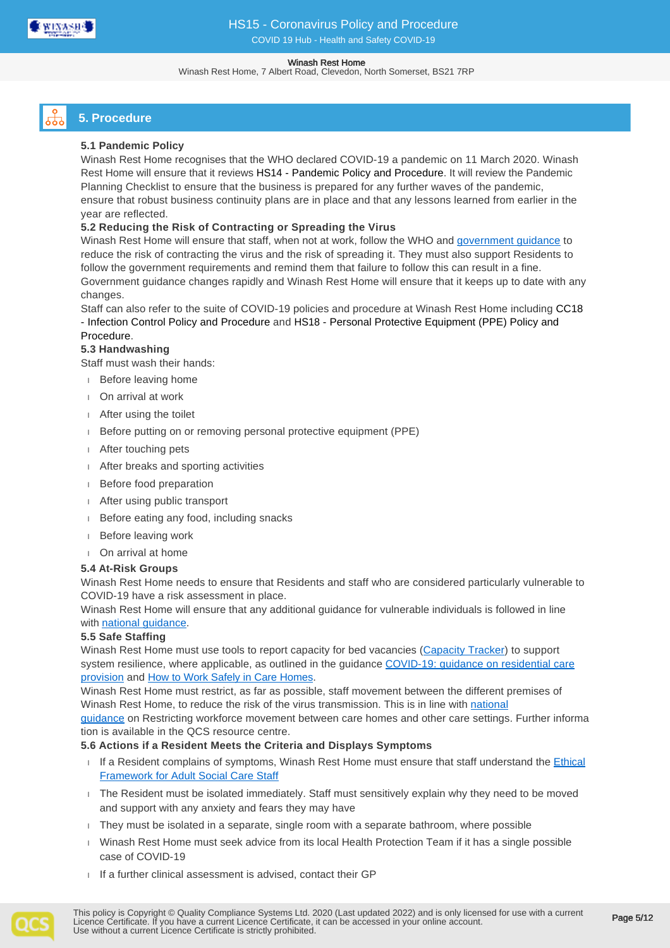

Winash Rest Home, 7 Albert Road, Clevedon, North Somerset, BS21 7RP

# **5. Procedure**

## **5.1 Pandemic Policy**

Winash Rest Home recognises that the WHO declared COVID-19 a pandemic on 11 March 2020. Winash Rest Home will ensure that it reviews HS14 - Pandemic Policy and Procedure. It will review the Pandemic Planning Checklist to ensure that the business is prepared for any further waves of the pandemic, ensure that robust business continuity plans are in place and that any lessons learned from earlier in the year are reflected.

## **5.2 Reducing the Risk of Contracting or Spreading the Virus**

Winash Rest Home will ensure that staff, when not at work, follow the WHO and [government guidance](https://www.gov.uk/guidance/local-restriction-tiers-what-you-need-to-know) to reduce the risk of contracting the virus and the risk of spreading it. They must also support Residents to follow the government requirements and remind them that failure to follow this can result in a fine. Government guidance changes rapidly and Winash Rest Home will ensure that it keeps up to date with any changes.

Staff can also refer to the suite of COVID-19 policies and procedure at Winash Rest Home including CC18 - Infection Control Policy and Procedure and HS18 - Personal Protective Equipment (PPE) Policy and Procedure.

### **5.3 Handwashing**

Staff must wash their hands:

- Before leaving home
- On arrival at work
- After using the toilet
- Before putting on or removing personal protective equipment (PPE)
- After touching pets
- After breaks and sporting activities
- Before food preparation
- After using public transport
- **Before eating any food, including snacks**
- Before leaving work
- On arrival at home

#### **5.4 At-Risk Groups**

Winash Rest Home needs to ensure that Residents and staff who are considered particularly vulnerable to COVID-19 have a risk assessment in place.

Winash Rest Home will ensure that any additional guidance for vulnerable individuals is followed in line with [national guidance.](https://www.gov.uk/guidance/covid-19-coronavirus-restrictions-what-you-can-and-cannot-do)

### **5.5 Safe Staffing**

Winash Rest Home must use tools to report capacity for bed vacancies ([Capacity Tracker](https://carehomes.necsu.nhs.uk/)) to support system resilience, where applicable, as outlined in the guidance [COVID-19: guidance on residential care](https://www.gov.uk/government/publications/coronavirus-covid-19-admission-and-care-of-people-in-care-homes) [provision](https://www.gov.uk/government/publications/covid-19-residential-care-supported-living-and-home-care-guidance/covid-19-guidance-on-residential-care-provision) and [How to Work Safely in Care Homes](https://www.gov.uk/government/publications/covid-19-how-to-work-safely-in-care-homes).

Winash Rest Home must restrict, as far as possible, staff movement between the different premises of Winash Rest Home, to reduce the risk of the virus transmission. This is in line with [national](https://www.gov.uk/government/publications/restricting-workforce-movement-between-care-homes-and-other-care-settings) 

[guidance](https://www.gov.uk/government/publications/restricting-workforce-movement-between-care-homes-and-other-care-settings) on Restricting workforce movement between care homes and other care settings. Further informa tion is available in the QCS resource centre.

### **5.6 Actions if a Resident Meets the Criteria and Displays Symptoms**

- If a Resident complains of symptoms, Winash Rest Home must ensure that staff understand the Ethical [Framework for Adult Social Care Staff](https://www.gov.uk/government/publications/covid-19-ethical-framework-for-adult-social-care)
- The Resident must be isolated immediately. Staff must sensitively explain why they need to be moved and support with any anxiety and fears they may have
- They must be isolated in a separate, single room with a separate bathroom, where possible
- Winash Rest Home must seek advice from its local Health Protection Team if it has a single possible case of COVID-19
- $I$  If a further clinical assessment is advised, contact their GP

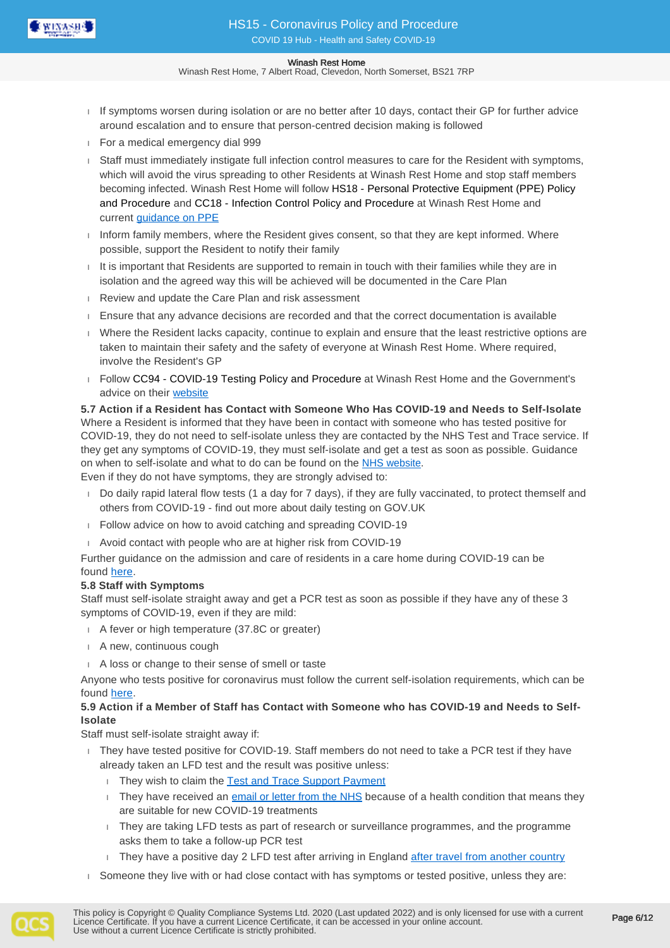

Winash Rest Home, 7 Albert Road, Clevedon, North Somerset, BS21 7RP

- If symptoms worsen during isolation or are no better after 10 days, contact their GP for further advice around escalation and to ensure that person-centred decision making is followed
- For a medical emergency dial 999
- Staff must immediately instigate full infection control measures to care for the Resident with symptoms, which will avoid the virus spreading to other Residents at Winash Rest Home and stop staff members becoming infected. Winash Rest Home will follow HS18 - Personal Protective Equipment (PPE) Policy and Procedure and CC18 - Infection Control Policy and Procedure at Winash Rest Home and current [guidance on PPE](https://www.gov.uk/government/publications/covid-19-how-to-work-safely-in-care-homes)
- Inform family members, where the Resident gives consent, so that they are kept informed. Where possible, support the Resident to notify their family
- $I$  It is important that Residents are supported to remain in touch with their families while they are in isolation and the agreed way this will be achieved will be documented in the Care Plan
- Review and update the Care Plan and risk assessment
- $E$  Ensure that any advance decisions are recorded and that the correct documentation is available
- Where the Resident lacks capacity, continue to explain and ensure that the least restrictive options are taken to maintain their safety and the safety of everyone at Winash Rest Home. Where required, involve the Resident's GP
- Follow CC94 COVID-19 Testing Policy and Procedure at Winash Rest Home and the Government's advice on their [website](https://www.gov.uk/guidance/coronavirus-covid-19-getting-tested)

### **5.7 Action if a Resident has Contact with Someone Who Has COVID-19 and Needs to Self-Isolate** Where a Resident is informed that they have been in contact with someone who has tested positive for COVID-19, they do not need to self-isolate unless they are contacted by the NHS Test and Trace service. If they get any symptoms of COVID-19, they must self-isolate and get a test as soon as possible. Guidance on when to self-isolate and what to do can be found on the [NHS website.](https://www.nhs.uk/conditions/coronavirus-covid-19/self-isolation-and-treatment/when-to-self-isolate-and-what-to-do/)

Even if they do not have symptoms, they are strongly advised to:

- Do daily rapid lateral flow tests (1 a day for 7 days), if they are fully vaccinated, to protect themself and others from COVID-19 - find out more about daily testing on GOV.UK
- Follow advice on how to avoid catching and spreading COVID-19
- Avoid contact with people who are at higher risk from COVID-19

Further guidance on the admission and care of residents in a care home during COVID-19 can be found [here](http://www.gov.uk/government/publications/coronavirus-covid-19-admission-and-care-of-people-in-care-homes/coronavirus-covid-19-admission-and-care-of-people-in-care-homes).

### **5.8 Staff with Symptoms**

Staff must self-isolate straight away and get a PCR test as soon as possible if they have any of these 3 symptoms of COVID-19, even if they are mild:

- A fever or high temperature (37.8C or greater)
- A new, continuous cough
- A loss or change to their sense of smell or taste

Anyone who tests positive for coronavirus must follow the current self-isolation requirements, which can be found [here](https://www.gov.uk/government/publications/covid-19-stay-at-home-guidance/stay-at-home-guidance-for-households-with-possible-coronavirus-covid-19-infection#what-has-changed).

## **5.9 Action if a Member of Staff has Contact with Someone who has COVID-19 and Needs to Self-Isolate**

Staff must self-isolate straight away if:

- They have tested positive for COVID-19. Staff members do not need to take a PCR test if they have already taken an LFD test and the result was positive unless:
	- They wish to claim the [Test and Trace Support Payment](https://www.gov.uk/government/publications/test-and-trace-support-payment-scheme-claiming-financial-support/claiming-financial-support-under-the-test-and-trace-support-payment-scheme)
	- They have received an [email or letter from the NHS](https://www.england.nhs.uk/coronavirus/publication/letter-to-patients-important-information-about-new-treatments-for-coronavirus/) because of a health condition that means they are suitable for new COVID-19 treatments
	- They are taking LFD tests as part of research or surveillance programmes, and the programme asks them to take a follow-up PCR test
	- $\Box$  They have a positive day 2 LFD test after arriving in England [after travel from another country](https://www.gov.uk/guidance/travel-to-england-from-another-country-during-coronavirus-covid-19)
- Someone they live with or had close contact with has symptoms or tested positive, unless they are:

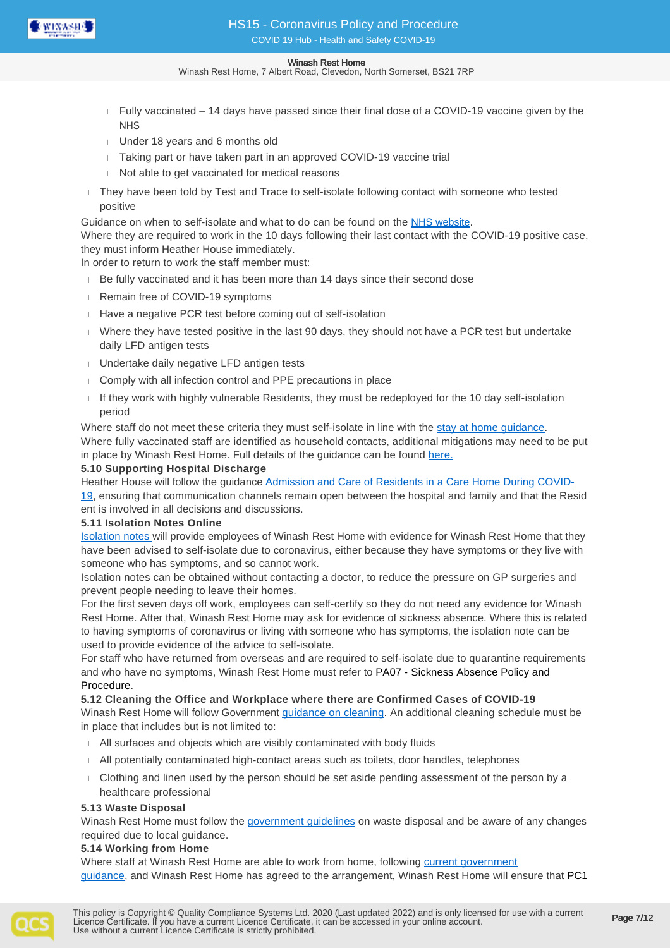

Winash Rest Home, 7 Albert Road, Clevedon, North Somerset, BS21 7RP

- $F =$  Fully vaccinated  $-14$  days have passed since their final dose of a COVID-19 vaccine given by the **NHS**
- Under 18 years and 6 months old
- Taking part or have taken part in an approved COVID-19 vaccine trial
- Not able to get vaccinated for medical reasons
- $\Box$  They have been told by Test and Trace to self-isolate following contact with someone who tested positive

Guidance on when to self-isolate and what to do can be found on the [NHS website](https://www.nhs.uk/conditions/coronavirus-covid-19/self-isolation-and-treatment/when-to-self-isolate-and-what-to-do/).

Where they are required to work in the 10 days following their last contact with the COVID-19 positive case, they must inform Heather House immediately.

In order to return to work the staff member must:

- Be fully vaccinated and it has been more than 14 days since their second dose
- **Remain free of COVID-19 symptoms**
- Have a negative PCR test before coming out of self-isolation
- Where they have tested positive in the last 90 days, they should not have a PCR test but undertake daily LFD antigen tests
- **Undertake daily negative LFD antigen tests**
- Comply with all infection control and PPE precautions in place
- If they work with highly vulnerable Residents, they must be redeployed for the 10 day self-isolation period

Where staff do not meet these criteria they must self-isolate in line with the [stay at home guidance.](https://www.gov.uk/government/publications/covid-19-stay-at-home-guidance) Where fully vaccinated staff are identified as household contacts, additional mitigations may need to be put in place by Winash Rest Home. Full details of the guidance can be found [here.](https://www.gov.uk/government/publications/covid-19-management-of-exposed-healthcare-workers-and-patients-in-hospital-settings/covid-19-management-of-exposed-healthcare-workers-and-patients-in-hospital-settings?utm_campaign=12532839_Self%20isolation%20announcement&utm_medium=email&utm_source=UKHCA&dm_i=1DVI,7GMEF,VOYMR2,UBSY7,1)

#### **5.10 Supporting Hospital Discharge**

Heather House will follow the guidance [Admission and Care of Residents in a Care Home During COVID-](https://www.gov.uk/government/publications/coronavirus-covid-19-admission-and-care-of-people-in-care-homes/coronavirus-covid-19-admission-and-care-of-people-in-care-homes#fn:5)[19,](https://www.gov.uk/government/publications/coronavirus-covid-19-admission-and-care-of-people-in-care-homes/coronavirus-covid-19-admission-and-care-of-people-in-care-homes#fn:5) ensuring that communication channels remain open between the hospital and family and that the Resid ent is involved in all decisions and discussions.

#### **5.11 Isolation Notes Online**

[Isolation notes](https://111.nhs.uk/isolation-note/) will provide employees of Winash Rest Home with evidence for Winash Rest Home that they have been advised to self-isolate due to coronavirus, either because they have symptoms or they live with someone who has symptoms, and so cannot work.

Isolation notes can be obtained without contacting a doctor, to reduce the pressure on GP surgeries and prevent people needing to leave their homes.

For the first seven days off work, employees can self-certify so they do not need any evidence for Winash Rest Home. After that, Winash Rest Home may ask for evidence of sickness absence. Where this is related to having symptoms of coronavirus or living with someone who has symptoms, the isolation note can be used to provide evidence of the advice to self-isolate.

For staff who have returned from overseas and are required to self-isolate due to quarantine requirements and who have no symptoms, Winash Rest Home must refer to PA07 - Sickness Absence Policy and Procedure.

**5.12 Cleaning the Office and Workplace where there are Confirmed Cases of COVID-19**

Winash Rest Home will follow Government [guidance on cleaning](https://www.gov.uk/government/publications/covid-19-decontamination-in-non-healthcare-settings/covid-19-decontamination-in-non-healthcare-settings). An additional cleaning schedule must be in place that includes but is not limited to:

- All surfaces and objects which are visibly contaminated with body fluids
- All potentially contaminated high-contact areas such as toilets, door handles, telephones
- Clothing and linen used by the person should be set aside pending assessment of the person by a healthcare professional

#### **5.13 Waste Disposal**

Winash Rest Home must follow the [government guidelines](https://www.gov.uk/government/publications/coronavirus-covid-19-admission-and-care-of-people-in-care-homes/coronavirus-covid-19-admission-and-care-of-people-in-care-homes#annex-j) on waste disposal and be aware of any changes required due to local quidance.

### **5.14 Working from Home**

Where staff at Winash Rest Home are able to work from home, following current government [guidance,](https://www.gov.uk/guidance/working-safely-during-covid-19) and Winash Rest Home has agreed to the arrangement, Winash Rest Home will ensure that PC1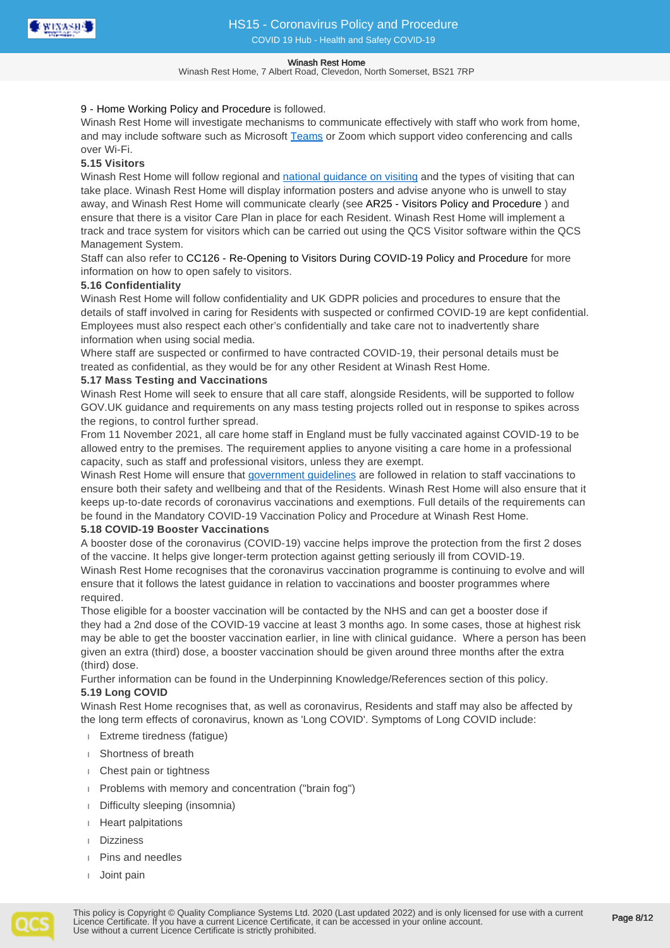

Winash Rest Home, 7 Albert Road, Clevedon, North Somerset, BS21 7RP

### 9 - Home Working Policy and Procedure is followed.

Winash Rest Home will investigate mechanisms to communicate effectively with staff who work from home, and may include software such as Microsoft [Teams](https://www.microsoft.com/en-gb) or Zoom which support video conferencing and calls over Wi-Fi.

## **5.15 Visitors**

Winash Rest Home will follow regional and [national guidance on visiting](https://www.gov.uk/government/publications/visiting-care-homes-during-coronavirus/update-on-policies-for-visiting-arrangements-in-care-homes) and the types of visiting that can take place. Winash Rest Home will display information posters and advise anyone who is unwell to stay away, and Winash Rest Home will communicate clearly (see AR25 - Visitors Policy and Procedure ) and ensure that there is a visitor Care Plan in place for each Resident. Winash Rest Home will implement a track and trace system for visitors which can be carried out using the QCS Visitor software within the QCS Management System.

Staff can also refer to CC126 - Re-Opening to Visitors During COVID-19 Policy and Procedure for more information on how to open safely to visitors.

## **5.16 Confidentiality**

Winash Rest Home will follow confidentiality and UK GDPR policies and procedures to ensure that the details of staff involved in caring for Residents with suspected or confirmed COVID-19 are kept confidential. Employees must also respect each other's confidentially and take care not to inadvertently share information when using social media.

Where staff are suspected or confirmed to have contracted COVID-19, their personal details must be treated as confidential, as they would be for any other Resident at Winash Rest Home.

## **5.17 Mass Testing and Vaccinations**

Winash Rest Home will seek to ensure that all care staff, alongside Residents, will be supported to follow GOV.UK guidance and requirements on any mass testing projects rolled out in response to spikes across the regions, to control further spread.

From 11 November 2021, all care home staff in England must be fully vaccinated against COVID-19 to be allowed entry to the premises. The requirement applies to anyone visiting a care home in a professional capacity, such as staff and professional visitors, unless they are exempt.

Winash Rest Home will ensure that [government guidelines](https://www.gov.uk/government/publications/vaccination-of-people-working-or-deployed-in-care-homes-operational-guidance/coronavirus-covid-19-vaccination-of-people-working-or-deployed-in-care-homes-operational-guidance) are followed in relation to staff vaccinations to ensure both their safety and wellbeing and that of the Residents. Winash Rest Home will also ensure that it keeps up-to-date records of coronavirus vaccinations and exemptions. Full details of the requirements can be found in the Mandatory COVID-19 Vaccination Policy and Procedure at Winash Rest Home.

### **5.18 COVID-19 Booster Vaccinations**

A booster dose of the coronavirus (COVID-19) vaccine helps improve the protection from the first 2 doses of the vaccine. It helps give longer-term protection against getting seriously ill from COVID-19. Winash Rest Home recognises that the coronavirus vaccination programme is continuing to evolve and will ensure that it follows the latest guidance in relation to vaccinations and booster programmes where required.

Those eligible for a booster vaccination will be contacted by the NHS and can get a booster dose if they had a 2nd dose of the COVID-19 vaccine at least 3 months ago. In some cases, those at highest risk may be able to get the booster vaccination earlier, in line with clinical guidance. Where a person has been given an extra (third) dose, a booster vaccination should be given around three months after the extra (third) dose.

Further information can be found in the Underpinning Knowledge/References section of this policy. **5.19 Long COVID**

Winash Rest Home recognises that, as well as coronavirus, Residents and staff may also be affected by the long term effects of coronavirus, known as 'Long COVID'. Symptoms of Long COVID include:

- Extreme tiredness (fatigue)
- Shortness of breath
- Chest pain or tightness
- Problems with memory and concentration ("brain fog")
- Difficulty sleeping (insomnia)
- Heart palpitations
- Dizziness
- Pins and needles
- Joint pain

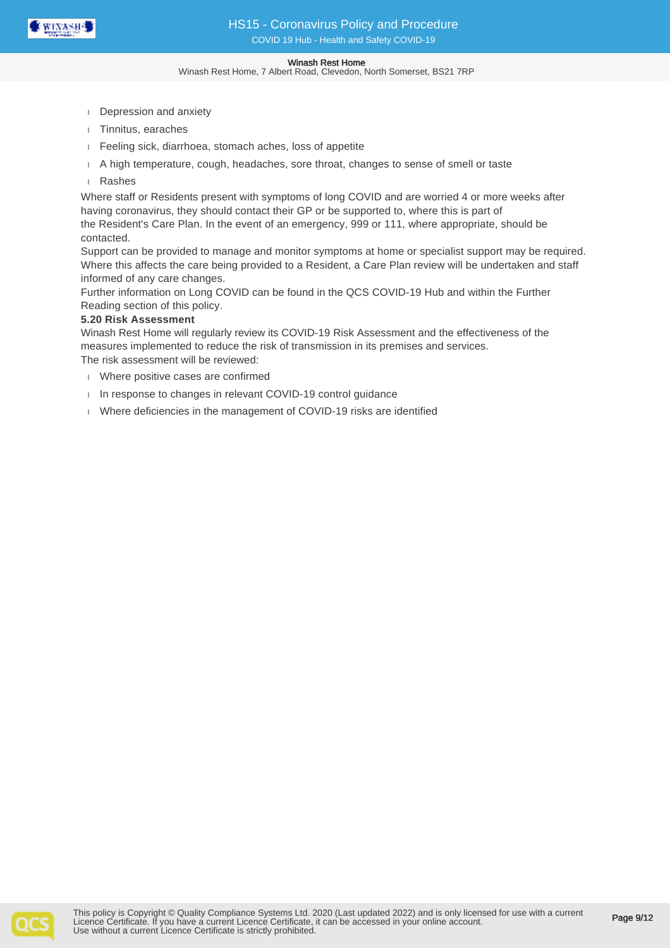

Winash Rest Home, 7 Albert Road, Clevedon, North Somerset, BS21 7RP

- Depression and anxiety
- Tinnitus, earaches
- Feeling sick, diarrhoea, stomach aches, loss of appetite
- A high temperature, cough, headaches, sore throat, changes to sense of smell or taste
- Rashes

Where staff or Residents present with symptoms of long COVID and are worried 4 or more weeks after having coronavirus, they should contact their GP or be supported to, where this is part of the Resident's Care Plan. In the event of an emergency, 999 or 111, where appropriate, should be contacted.

Support can be provided to manage and monitor symptoms at home or specialist support may be required. Where this affects the care being provided to a Resident, a Care Plan review will be undertaken and staff informed of any care changes.

Further information on Long COVID can be found in the QCS COVID-19 Hub and within the Further Reading section of this policy.

### **5.20 Risk Assessment**

Winash Rest Home will regularly review its COVID-19 Risk Assessment and the effectiveness of the measures implemented to reduce the risk of transmission in its premises and services. The risk assessment will be reviewed:

- Where positive cases are confirmed
- In response to changes in relevant COVID-19 control guidance
- Where deficiencies in the management of COVID-19 risks are identified

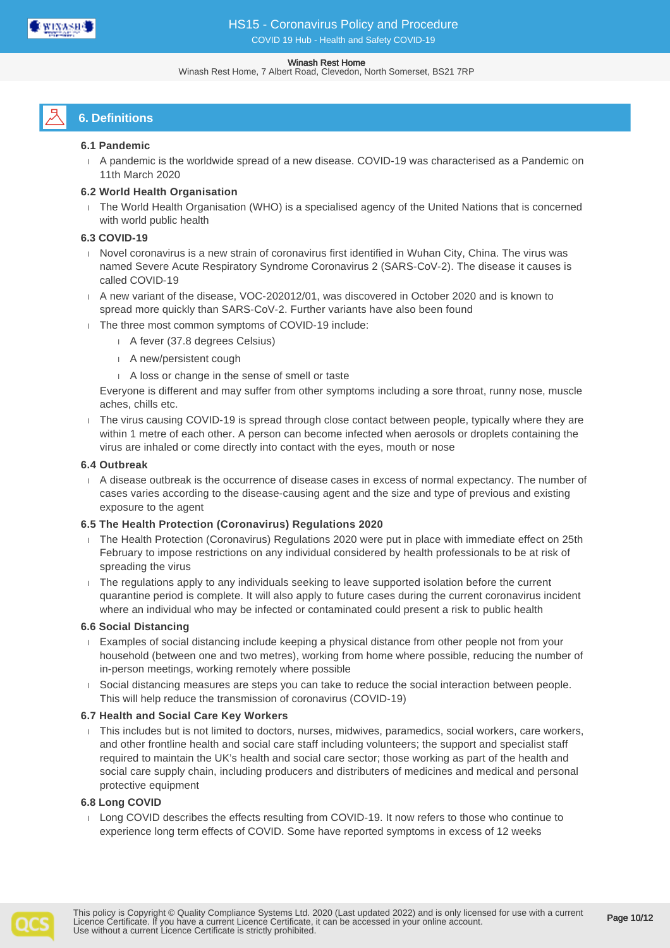

#### Winash Rest Home, 7 Albert Road, Clevedon, North Somerset, BS21 7RP

# **6. Definitions**

### **6.1 Pandemic**

 A pandemic is the worldwide spread of a new disease. COVID-19 was characterised as a Pandemic on 11th March 2020

## **6.2 World Health Organisation**

 The World Health Organisation (WHO) is a specialised agency of the United Nations that is concerned with world public health

## **6.3 COVID-19**

- Novel coronavirus is a new strain of coronavirus first identified in Wuhan City, China. The virus was named Severe Acute Respiratory Syndrome Coronavirus 2 (SARS-CoV-2). The disease it causes is called COVID-19
- A new variant of the disease, VOC-202012/01, was discovered in October 2020 and is known to spread more quickly than SARS-CoV-2. Further variants have also been found
- The three most common symptoms of COVID-19 include:
	- A fever (37.8 degrees Celsius)
	- A new/persistent cough
	- A loss or change in the sense of smell or taste

Everyone is different and may suffer from other symptoms including a sore throat, runny nose, muscle aches, chills etc.

 The virus causing COVID-19 is spread through close contact between people, typically where they are within 1 metre of each other. A person can become infected when aerosols or droplets containing the virus are inhaled or come directly into contact with the eyes, mouth or nose

### **6.4 Outbreak**

 A disease outbreak is the occurrence of disease cases in excess of normal expectancy. The number of cases varies according to the disease-causing agent and the size and type of previous and existing exposure to the agent

## **6.5 The Health Protection (Coronavirus) Regulations 2020**

- The Health Protection (Coronavirus) Regulations 2020 were put in place with immediate effect on 25th February to impose restrictions on any individual considered by health professionals to be at risk of spreading the virus
- The regulations apply to any individuals seeking to leave supported isolation before the current quarantine period is complete. It will also apply to future cases during the current coronavirus incident where an individual who may be infected or contaminated could present a risk to public health

### **6.6 Social Distancing**

- Examples of social distancing include keeping a physical distance from other people not from your household (between one and two metres), working from home where possible, reducing the number of in-person meetings, working remotely where possible
- Social distancing measures are steps you can take to reduce the social interaction between people. This will help reduce the transmission of coronavirus (COVID-19)

### **6.7 Health and Social Care Key Workers**

 This includes but is not limited to doctors, nurses, midwives, paramedics, social workers, care workers, and other frontline health and social care staff including volunteers; the support and specialist staff required to maintain the UK's health and social care sector; those working as part of the health and social care supply chain, including producers and distributers of medicines and medical and personal protective equipment

### **6.8 Long COVID**

Long COVID describes the effects resulting from COVID-19. It now refers to those who continue to experience long term effects of COVID. Some have reported symptoms in excess of 12 weeks

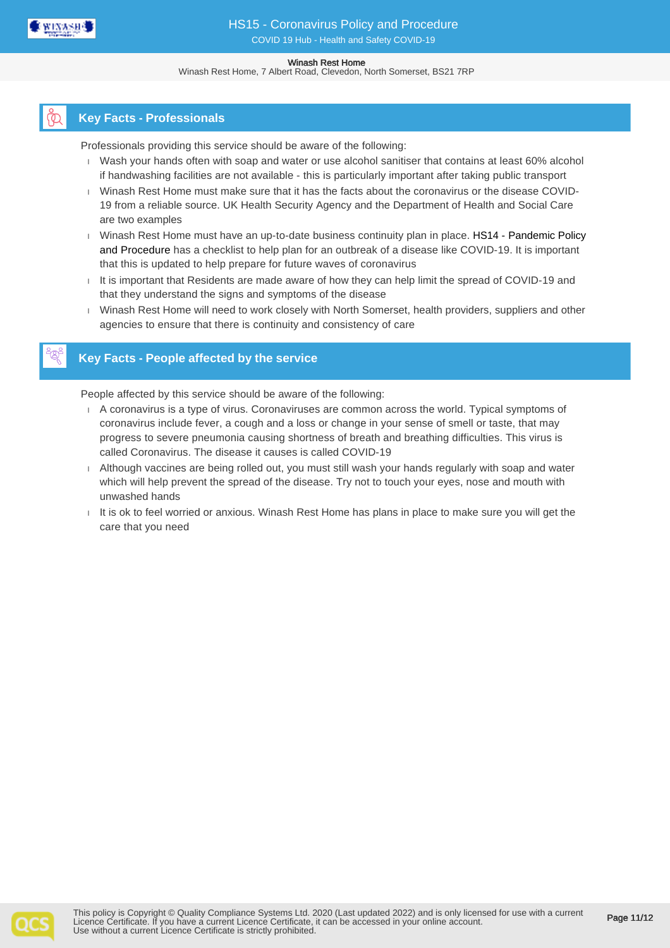

Winash Rest Home, 7 Albert Road, Clevedon, North Somerset, BS21 7RP

## **Key Facts - Professionals**

Professionals providing this service should be aware of the following:

- Wash your hands often with soap and water or use alcohol sanitiser that contains at least 60% alcohol if handwashing facilities are not available - this is particularly important after taking public transport
- Winash Rest Home must make sure that it has the facts about the coronavirus or the disease COVID-19 from a reliable source. UK Health Security Agency and the Department of Health and Social Care are two examples
- I Winash Rest Home must have an up-to-date business continuity plan in place. HS14 Pandemic Policy and Procedure has a checklist to help plan for an outbreak of a disease like COVID-19. It is important that this is updated to help prepare for future waves of coronavirus
- $I$  It is important that Residents are made aware of how they can help limit the spread of COVID-19 and that they understand the signs and symptoms of the disease
- Winash Rest Home will need to work closely with North Somerset, health providers, suppliers and other agencies to ensure that there is continuity and consistency of care

## **Key Facts - People affected by the service**

People affected by this service should be aware of the following:

- A coronavirus is a type of virus. Coronaviruses are common across the world. Typical symptoms of coronavirus include fever, a cough and a loss or change in your sense of smell or taste, that may progress to severe pneumonia causing shortness of breath and breathing difficulties. This virus is called Coronavirus. The disease it causes is called COVID-19
- Although vaccines are being rolled out, you must still wash your hands regularly with soap and water which will help prevent the spread of the disease. Try not to touch your eyes, nose and mouth with unwashed hands
- $I$  It is ok to feel worried or anxious. Winash Rest Home has plans in place to make sure you will get the care that you need